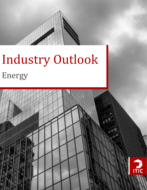

# Industry Outlook Energy

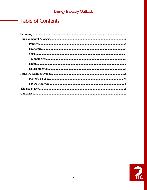# **Table of Contents**

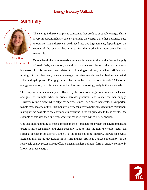# **Summary**



The energy industry comprises companies that produce or supply energy. This is a very important industry since it provides the energy that other industries need to operate. This industry can be divided into two big segments, depending on the source of the energy that is used for the production: non-renewable and renewable.

Filipa Pires Research Department

On one hand, the non-renewable segment is related to the production and supply of fossil fuels, such as oil, natural gas, and nuclear. Some of the most common businesses in this segment are related to oil and gas drilling, pipeline, refining, and mining. On the other hand, renewable energy comprises energies such as biofuels and wind, solar, and hydropower. Energy generated by renewable power represents only 13.4% of all energy generation, but this is a number that has been increasing yearly in the last decade.

The companies in this industry are affected by the prices of energy commodities, such as oil and gas. For example, when oil prices increase, producers tend to increase their supply. However, refiners prefer when oil prices decrease since it decreases their costs. It is important to note that, because of this, this industry is very sensitive to political events since throughout history it was possible to see enormous fluctuations in the oil price due to these events. One example of this was the Gulf War, where prices rose from \$34 to \$77 per barrel.

One last important thing to note is the rise in the efforts made to protect the environment and create a more sustainable and clean economy. Due to this, the non-renewable sector can suffer a decline in its activity, since it is the most polluting industry, known for several accidents that caused devastation in its surroundings. But it is a great opportunity for the renewable energy sector since it offers a cleaner and less pollutant form of energy, commonly known as green energy.

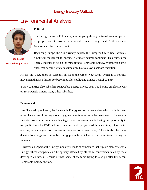# Environmental Analysis



João Matos Research Department

### **Political**

The Energy Industry Political opinion is going through a transformation phase, as people start to worry more about climate change and Politicians and Governments focus more on it.

Regarding Europe, there is currently in place the European Green Deal, which is a political movement to become a climate-neutral continent. This pushes the Energy Industry to act on the transition to Renewable Energy, by imposing strict rules, that become stricter as time goes by, to allow a smooth transition.

As for the USA, there is currently in place the Green New Deal, which is a political movement that also thrives for becoming a less pollutant/climate-neutral country.

Many countries also subsidize Renewable Energy private acts, like buying an Electric Car or Solar Panels, among many other subsidies.

#### **Economical**

Just like it said previously, the Renewable Energy section has subsidies, which include lower taxes. This is one of the ways found by governments to increase the investment in Renewable Energies. Another economical advantage these companies face is having the opportunity to use public funds for R&D and even for some public projects. At the same time, interest rates are low, which is good for companies that need to borrow money. There is also the rising demand for energy and renewable energy products, which also contributes to increasing the Revenue.

However, a big part of the Energy Industry is made of companies that explore Non-renewable Energy. These companies are being very affected by all the measurements taken by most developed countries. Because of that, some of them are trying to also go after this recent Renewable Energy section.

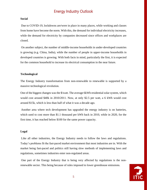#### **Social**

Due to COVID-19, lockdowns are/were in place in many places, while working and classes from home have become the norm. With this, the demand for individual electricity increases, while the demand for electricity by companies decreased since offices and workplaces are closed.

On another subject, the number of middle-income households in under-developed countries is growing (e.g. China, India), while the number of people in upper-income households in developed countries is growing. With both facts in mind, particularly the first, it is expected for the common household to increase its electrical consumption in the near future.

#### **Technological**

The Energy Industry transformation from non-renewable to renewable is supported by a massive technological revolution.

One of the biggest changes was the \$/watt. The average 6kWh residential solar system, which would cost around \$40k in 2010/2011. Now, at only \$2.5 per watt, a 6 kWh would cost around \$15k, which is less than half of what it was a decade ago.

Another area where tech development has upgraded the energy industry is on batteries, which used to cost more than \$1.1 thousand per kWh back in 2010, while in 2020, for the first time, it has reached below \$100 for the same power capacity.

#### **Legal**

Like all other industries, the Energy Industry needs to follow the laws and regulations. Today's problems fit the fast-paced market environment that most industries are in. With the market being fast-paced and politics still having slow methods of implementing laws and regulations, sometimes industries enter non-regulated areas.

One part of the Energy Industry that is being very affected by regulations is the nonrenewable sector. This being because of rules imposed to lower greenhouse emissions.

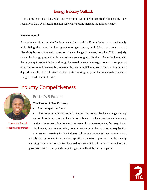The opposite is also true, with the renewable sector being constantly helped by new regulations that, by affecting the non-renewable sector, increase the first's revenue.

#### **Environmental**

As previously discussed, the Environmental Impact of the Energy Industry is considerably high. Being the second-highest greenhouse gas source, with 28%, the production of Electricity is one of the main causes of climate change. However, the other 72% is majorly caused by Energy production through other means (e.g. Car Engines, Plane Engines), with the only way to solve this being through increased renewable energy production supporting other industries and services, by, for example, swapping ICE engines to Electric Engines that depend on an Electric infrastructure that is still lacking or by producing enough renewable energy to feed other industries.

# Industry Competitiveness



Fernando Rangel Research Department

### Porter's 5 Forces

#### **The Threat of New Entrants**

- **Low competitive force**
- Upon entering this market, it is required that companies have a huge start-up capital in order to survive. This industry is very capital-intensive and demands making investments in things such as research and development, Property, Plant, Equipment, repairments. Also, governments around the world often require that companies operating in this industry follow environmental regulations which usually causes companies to acquire specific expensive capital to comply, already weaving out smaller companies. This makes it very difficult for most new entrants to pass this barrier to entry and compete against well-established companies.

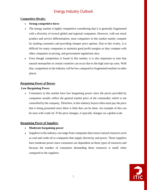### **Competitive Rivalry**

#### • **Strong competitive force**

- The energy market is highly competitive considering that it is generally fragmented with a diversity of several global and regional companies. However, with not much product and service differentiation, most companies in this market mainly compete by stealing customers and providing cheaper price options. Due to this rivalry, it is difficult for many companies to maintain good profit margins as they compete with other companies in pricing, and government regulations also;
- Even though competition is found in this market, it is also important to note that natural monopolies in certain countries can occur due to the high start-up costs. With that, competition in the industry will be low compared to fragmented markets in other places

### **Bargaining Power of Buyers**

### **Low Bargaining Power**

• Consumers in this market have low bargaining power since the prices provided by companies usually reflect the general market price of the commodity which is not controlled by the company, Therefore, in this industry buyers often must pay the price that is being presented since there is little that can be done. An example of this can be seen with crude oil. If the price changes, it typically changes on a global scale.

#### **Bargaining Power of Suppliers**

- **Moderate bargaining power**
- Suppliers in the industry can range from companies that extract natural resources such as coal and crude oil to companies that supply electricity and power. These suppliers have moderate power since consumers are dependent on these types of resources and because the number of consumers demanding these resources is small when compared to the suppliers.

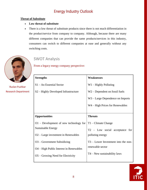### **Threat of Substitute**

- **Low threat of substitute**
- There is a low threat of substitute products since there is not much differentiation in the product/service from company to company. Although, because there are many different companies that can provide the same products/services in this industry, consumers can switch to different companies at ease and generally without any switching costs.



Ruslan Pushkar Research Department

### SWOT Analysis

From a legacy energy company perspective:

| <b>Strengths</b>                                 | <b>Weaknesses</b>                   |
|--------------------------------------------------|-------------------------------------|
| S1 - An Essential Sector                         | $W1 -$ Highly Polluting             |
| S <sub>2</sub> – Highly Developed Infrastructure | $W2$ – Dependent on fossil fuels    |
|                                                  | W3 – Large Dependence on Imports    |
|                                                  | W4 – High Prices for Renewables     |
|                                                  |                                     |
| <b>Opportunities</b>                             | <b>Threats</b>                      |
| $O1$ – Development of new technology for         | $T1 -$ Climate Change               |
| <b>Sustainable Energy</b>                        | T2 - Low social acceptance for      |
| O <sub>2</sub> – Large investment in Renewables  |                                     |
|                                                  | polluting energy                    |
| $O3 - Government Subsidizing$                    | T3 – Lower Investment into the non- |
| O4 – High Public Interest in Renewables          | renewable sector                    |
| $O5 -$ Growing Need for Electricity              | $T4 - New$ sustainability laws      |

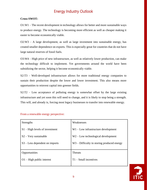### **Cross-SWOT:**

O1:W1 – The recent development in technology allows for better and more sustainable ways to produce energy. The technology is becoming more efficient as well as cheaper making it easier to become economically viable.

 $O2:W3 - A$  large development, as well as large investment into sustainable energy, has created smaller dependence on exports. This is especially great for countries that do not have large natural reserves of fossil fuels.

O3:W4 – High price of new infrastructure, as well as relatively lower production, can make the technology difficult to implement. Yet governments around the world have been subsidizing the sector, helping it become economically viable.

S2:T3 – Well-developed infrastructure allows for more traditional energy companies to sustain their production despite the lower and lower investment. This also means more opportunities to reinvest capital into greener fields.

 $S2:T2$  – Low acceptance of polluting energy is somewhat offset by the large existing infrastructure and yet soon this will need to change, and it is likely to stop being a strength. This will, and already is, forcing most legacy businesses to transfer into renewable energy.

| <b>Strengths</b>                 | Weaknesses                                 |
|----------------------------------|--------------------------------------------|
| $S1 - High levels of investment$ | $W1$ – Low infrastructure development      |
| $S2 - V$ ery sustainable         | $W2$ – Low technological development       |
| $S3 - Less dependent on imports$ | W3 – Difficulty in storing produced energy |
| Opportunities                    | <b>Threats</b>                             |
| $O1 - High public interest$      | $T1 - Small$ incentives                    |

#### From a renewable energy perspective:

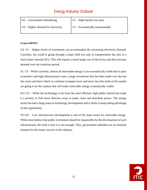| $\overline{O2}$ – Government Subsidizing        | $T2 - High barriers for entry$                      |
|-------------------------------------------------|-----------------------------------------------------|
| $\overline{O3}$ – Higher demand for electricity | $\vert$ T <sub>3</sub> – Economically unsustainable |

### **Cross-SWOT:**

O3: S1 – Higher levels of investment can accommodate the increasing electricity demand. Currently, the world is going through a major shift not only in transportation but also in a much faster internet (5G). This will require a much larger use of electricity and thus increase demand over the transition period.

S1: T3 – While currently, almost all renewable energy is not economically viable due to poor economics and high infrastructure costs, a large investment that has been made over the last few years and that is likely to continue to happen more and more into this niche of the market are going to be the catalyst that will make renewable energy economically viable.

W2: O1 – While the technology is far from the most efficient, high public interest has made it a priority to find more effective ways to make, store and distribute power. The energy sector has had a large jump in technology development and is likely to keep taking advantage of this opportunity.

W1:O2 – Low infrastructure development is one of the main issues for renewable energy. While most believe that public investment should be responsible for the development of such infrastructure, the truth is that it is not enough. Thus, government subsidies are an essential element for the future success of the industry.

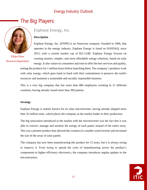# The Big Players



Filipa Pires Research Department

### Enphase Energy, Inc.

#### **Description**

Enphase Energy, Inc. (ENPH) is an American company, founded in 2006, that operates in the energy industry. Enphase Energy is listed on NASDAQ, since 2012, with a current market cap of \$22.124B. Enphase Energy focuses on creating smarter, simpler, and more affordable energy solutions, based on solar

energy. It also values its consumers and tries to offer the best services and quality,

testing the products for 1 million hours before launching them. The company's products work with solar energy, which goes hand in hand with their commitment to preserve the earth's resources and maintain a sustainable and socially responsible business.

This is a very big company that has more than 800 employees working in 21 different countries, having already issued more than 300 patents.

#### **Strategy**

Enphase Energy is mainly known for its solar microinverter, having already shipped more than 32 million units, which places the company as the market leader in their production.

The big innovation introduced in the market with the microinverter was the fact that it was able to convert, manage and monitor the energy of each panel, instead of the entire array. This was a pioneer product that allowed the creation of a smaller-sized inverter and increased the size of the array of solar panels.

The company has now been manufacturing this product for 13 years, but it is always trying to improve it. From trying to spread the costs of manufacturing across the product's components to higher efficiency electronics, the company introduces regular updates to the microinverters.

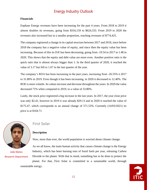#### **Financials**

Enphase Energy revenues have been increasing for the past 4 years. From 2018 to 2019 it almost doubles its revenues, going from \$316,159 to \$624,333. From 2019 to 2020 the revenues also increased but in a smaller proportion, reaching revenues of \$774,425.

The company registered a change in its capital structure between 2017 and 2018, since before 2018 the company has a negative value of equity, and since then the equity value has been increasing. Because of this its D/E has been decreasing, going from -19.54 in 2017 to 1.48 in 2020. This shows that the equity and debt value are more even. Another positive ratio is the quick ratio that is almost always bigger than 1. In the third quarter of 2020, it reached the value of 3.17 but fell to 1.67 in the last quarter of the year.

The company's ROA has been increasing in the past years, increasing from -26.55% n 2017 to 31.80% in 2019. Even though it has been increasing, in 2020 it decreased to 12.40%. The ROE is more volatile. Its values increase and decrease throughout the years. In 2020 the value decreased 71% when compared to 2019, to a value of 33.80%.

Lastly, the stock price registered a big increase in the last years. In 2017, the year close price was only \$2.41, however in 2019 it was already \$29.13 and in 2020 it reached the value of  $$175.47$ , which corresponds to an annual change of  $571.53\%$ . Currently  $(14/03/2021)$  its price is at \$164.71.



João Matos Research Department

### First Solar

#### **Description**

Now, more than ever, the world population is worried about climate change.

As we all know, the main human activity that causes climate change is the Energy Industry, which has been burning tons of fossil fuels per year, releasing Carbon Dioxide to the planet. With that in mind, something has to be done to protect the

planet. For that, First Solar is committed to a sustainable world, through sustainable energy.

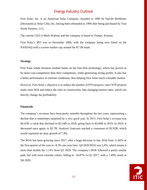First Solar, Inc. is an American Solar Company, founded in 1990 by Harold McMaster (Deceased) as Solar Cells, Inc, having been rebranded in 1999 after being purchased by True North Partners, LLC.

The current CEO is Mark Widmar and the company is based in Tempe, Arizona.

First Solar's IPO was in November 2006, with the company being now listed on the NASDAQ with a current market cap around the \$7.5B mark.

#### **Strategy**

First Solar whole business module banks on the thin-film technology, which has proven to be more cost-competitive than their competitors, while generating strong profits. It also has a better performance in extreme conditions, thus helping First Solar reach a broader market.

However, First Solar's objective is to reduce the number of PTO projects, since NTP projects make more ROI and reduce the risks in construction, like changing interest rates, which can heavily change the profitability.

#### **Financials**

The company's revenues have been pretty unstable throughout the last years, representing a decline that is sometimes surprised by a very good year. In 2015, First Solar's revenue was \$4.41B, a value that declined to \$2.24B in 2018, going back to \$3,06B in 2019. In 2020, it decreased once again, to \$2.7B. Analysts' forecasts reached a consensus of \$2.92B, which would represent an okay growth of 7.9%.

The ROA has been growing since 2017, after a huge decrease in late 2016 from 11.82% in the first quarter of the year to -8.3% one year later. Q4 2020 ROA was 5,4%, which means it more than double the 3,14% from Q3 2020. The company's ROE followed a pretty similar path, but with more extreme values, falling to -10.87% in Q1 2017, with a 7.49% result in Q4 2020.

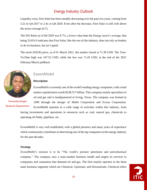Liquidity-wise, First Solar has been steadily decreasing over the past two years, coming from 5.2x in Q4 2017 to 2.4x in Q4 2020. Even after the decrease, First Solar is still well above the sector average (0.7).

The D/E Ratio as of Q4 2020 was 8.7%, a lower value than the Energy sector's average, that being 33.6% It indicates that First Solar, like the rest of the industry, does not rely on lenders to do its business, but on Capital.

The stock (FSLR) price, as of  $8<sup>a</sup>$  March 2021, the market closed at 71.39 USD. The Year-To-Date high was 107.53 USD, while the low was 71.45 USD, at the end of the 2021 February/March pullback.



### Fernando Rangel Research Department

### ExxonMobil

### **Description**

ExxonMobil is currently one of the world's leading energy companies, with a total market capitalization worth \$238.517 billion. This company mainly specializes in oil and gas and is headquartered in Irving, Texas. The company was formed in 1999 through the merger of Mobil Corporation and Exxon Corporation. ExxonMobil operates in a wide range of activities within this industry, from having investments and operations in resources such as coal, natural gas, chemicals to operating oil fields, pipelines, etc.

ExxonMobil is very well established, with a global presence and many years of experience which continuously contributes to them being one of the top companies in the energy industry for the past decades.

#### **Strategy**

ExxonMobil's mission is to be "The world's premier petroleum and petrochemical company." The company uses a mass-market business model and targets its services to companies and consumers that demand oil and gas. The firm mainly operates in the three main business segments which are Chemical, Upstream, and Downstream. Chemical refers

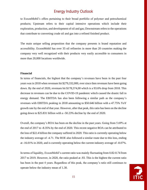to ExxonMobil's offers pertaining to their broad portfolio of polymer and petrochemical products; Upstream refers to their capital intensive operations which include their exploration, production, and development of oil and gas; Downstream refers to the operations that contribute to converting crude oil and gas into a refined finished product.

The main unique selling proposition that the company presents is brand reputation and accessibility. ExxonMobil has over 35 oil refineries in more than 20 countries making the company very well recognized with their products very easily accessible to consumers in more than 20,000 locations worldwide.

#### **Financial**

In terms of financials, the highest that the company's revenues have been in the past four years was in 2018 when revenues hit \$279,332,000, ever since then revenues have been going down. By the end of 2020, revenues hit \$178,574,00 which is a 93.6% drop from 2018. This decrease in revenues can be due to the COVID-19 pandemic which caused the drastic fall in energy demand. The EBITDA has also been following a similar path as the company's revenues with EBITDA peaking in 2018 amounting to \$50.646 billion with a 47.75% YoY growth rate by the end of that year. However, after that peak, this ratio has been on the decline going down to \$25.831 billion with a -50.23% decline by the end of 2020.

Overall, the company's ROA has been on the decline in the past years. Going from 5.69% at the end of 2017 to -8.35% by the end of 2020. This recent negative ROA can be attributed to the loss of \$22.4 billion the company suffered in 2020. This ratio is currently operating below the industry average of -4.71. The ROE also followed a similar route due to this loss, ending at -16.01% in 2020, and is currently operating below the current industry average of -8.07%.

In terms of liquidity, ExxonMobil's current ratio was mainly fluctuating from 0.82-0.74 from 2017 to 2019. However, in 2020, the ratio peaked at .93. This is the highest the current ratio has been in the past 4 years. Regardless of this peak, the company's ratio still continues to operate below the industry mean of 1.30.

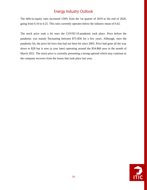The debt-to-equity ratio increased 150% from the 1st quarter of 2019 to the end of 2020, going from 0.10 to 0.25. This ratio currently operates below the industry mean of 0.42.

The stock price took a hit once the COVID-19 pandemic took place. Price before the pandemic was mainly fluctuating between \$75-\$56 for a few years. Although, once the pandemic hit, the price hit lows that had not been hit since 2005. Price had gone all the way down to \$28 but is now (a year later) operating around the \$54-\$60 area in the month of March 2021. The stock price is currently presenting a strong uptrend which may continue as the company recovers from the losses that took place last year.

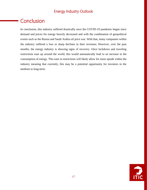# **Conclusion**

In conclusion, this industry suffered drastically once the COVID-19 pandemic began since demand and prices for energy heavily decreased and with the combination of geopolitical events such as the Russia and Saudi Arabia oil price war. With that, many companies within the industry suffered a loss or sharp declines in their revenues. However, over the past months, the energy industry is showing signs of recovery. Once lockdown and traveling restrictions ease up around the world, this would automatically lead to an increase in the consumption of energy. This ease in restrictions will likely allow for more upside within the industry meaning that currently, this may be a potential opportunity for investors in the medium to long-term.